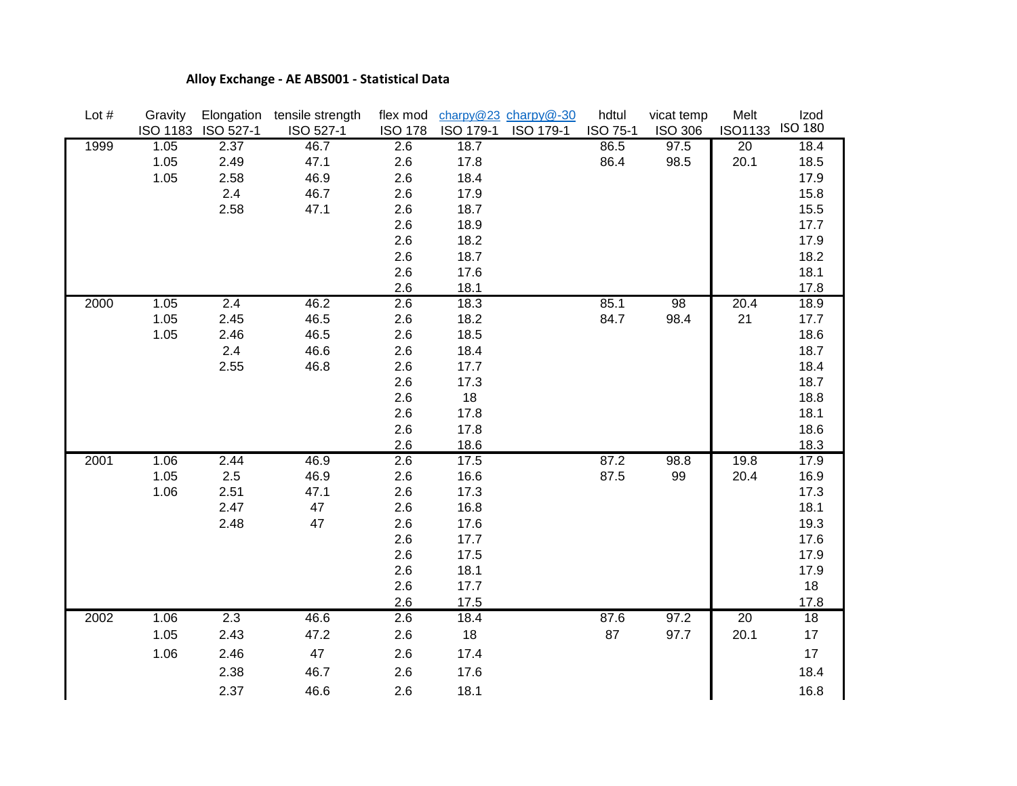## **Alloy Exchange - AE ABS001 - Statistical Data**

| Lot $#$ | Gravity | Elongation         | tensile strength | flex mod       |              | charpy@23 charpy@-30 | hdtul    | vicat temp       | Melt            | Izod         |
|---------|---------|--------------------|------------------|----------------|--------------|----------------------|----------|------------------|-----------------|--------------|
|         |         | ISO 1183 ISO 527-1 | ISO 527-1        | <b>ISO 178</b> | ISO 179-1    | ISO 179-1            | ISO 75-1 | <b>ISO 306</b>   | <b>ISO1133</b>  | ISO 180      |
| 1999    | 1.05    | 2.37               | 46.7             | 2.6            | 18.7         |                      | 86.5     | $\frac{1}{97.5}$ | $\overline{20}$ | 18.4         |
|         | 1.05    | 2.49               | 47.1             | 2.6            | 17.8         |                      | 86.4     | 98.5             | 20.1            | 18.5         |
|         | 1.05    | 2.58               | 46.9             | 2.6            | 18.4         |                      |          |                  |                 | 17.9         |
|         |         | 2.4                | 46.7             | 2.6            | 17.9<br>18.7 |                      |          |                  |                 | 15.8         |
|         |         | 2.58               | 47.1             | 2.6<br>2.6     | 18.9         |                      |          |                  |                 | 15.5<br>17.7 |
|         |         |                    |                  | 2.6            | 18.2         |                      |          |                  |                 | 17.9         |
|         |         |                    |                  | 2.6            | 18.7         |                      |          |                  |                 | 18.2         |
|         |         |                    |                  | 2.6            | 17.6         |                      |          |                  |                 | 18.1         |
|         |         |                    |                  | 2.6            | 18.1         |                      |          |                  |                 | 17.8         |
| 2000    | 1.05    | 2.4                | 46.2             | 2.6            | 18.3         |                      | 85.1     | 98               | 20.4            | 18.9         |
|         | 1.05    | 2.45               | 46.5             | 2.6            | 18.2         |                      | 84.7     | 98.4             | 21              | 17.7         |
|         | 1.05    | 2.46               | 46.5             | 2.6            | 18.5         |                      |          |                  |                 | 18.6         |
|         |         | 2.4                | 46.6             | 2.6            | 18.4         |                      |          |                  |                 | 18.7         |
|         |         | 2.55               | 46.8             | 2.6            | 17.7         |                      |          |                  |                 | 18.4         |
|         |         |                    |                  | 2.6            | 17.3         |                      |          |                  |                 | 18.7         |
|         |         |                    |                  | 2.6            | 18           |                      |          |                  |                 | 18.8         |
|         |         |                    |                  | 2.6            | 17.8         |                      |          |                  |                 | 18.1         |
|         |         |                    |                  | 2.6            | 17.8         |                      |          |                  |                 | 18.6         |
|         |         |                    |                  | 2.6            | 18.6         |                      |          |                  |                 | 18.3         |
| 2001    | 1.06    | 2.44               | 46.9             | 2.6            | 17.5         |                      | 87.2     | 98.8             | 19.8            | 17.9         |
|         | 1.05    | 2.5                | 46.9             | 2.6            | 16.6         |                      | 87.5     | 99               | 20.4            | 16.9         |
|         | 1.06    | 2.51               | 47.1             | 2.6            | 17.3         |                      |          |                  |                 | 17.3         |
|         |         | 2.47               | 47               | 2.6            | 16.8         |                      |          |                  |                 | 18.1         |
|         |         | 2.48               | 47               | 2.6            | 17.6         |                      |          |                  |                 | 19.3         |
|         |         |                    |                  | 2.6            | 17.7         |                      |          |                  |                 | 17.6         |
|         |         |                    |                  | 2.6            | 17.5         |                      |          |                  |                 | 17.9         |
|         |         |                    |                  | 2.6            | 18.1         |                      |          |                  |                 | 17.9         |
|         |         |                    |                  | 2.6            | 17.7         |                      |          |                  |                 | 18           |
|         |         | 2.3                |                  | 2.6            | 17.5         |                      |          | 97.2             | 20              | 17.8<br>18   |
| 2002    | 1.06    |                    | 46.6             | 2.6            | 18.4         |                      | 87.6     |                  |                 |              |
|         | 1.05    | 2.43               | 47.2             | 2.6            | 18           |                      | 87       | 97.7             | 20.1            | $17\,$       |
|         | 1.06    | 2.46               | 47               | 2.6            | 17.4         |                      |          |                  |                 | $17\,$       |
|         |         | 2.38               | 46.7             | 2.6            | 17.6         |                      |          |                  |                 | 18.4         |
|         |         | 2.37               | 46.6             | 2.6            | 18.1         |                      |          |                  |                 | 16.8         |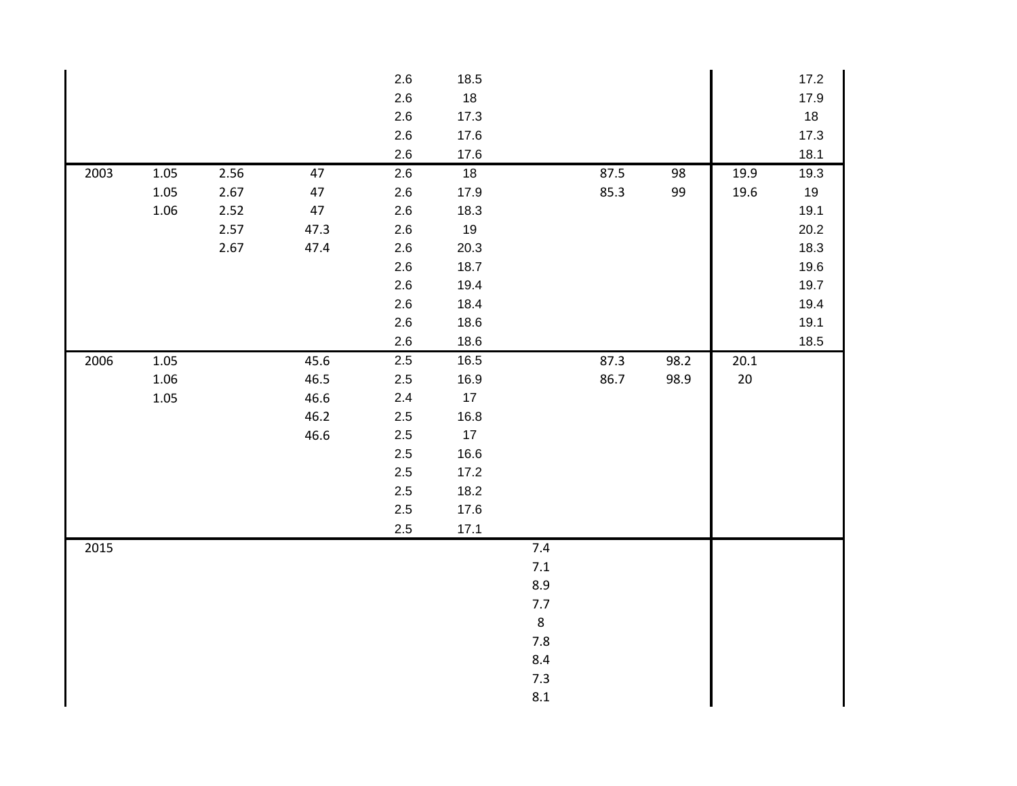|      |          |      |        | $2.6\,$ | 18.5   |         |      |      |      | 17.2 |
|------|----------|------|--------|---------|--------|---------|------|------|------|------|
|      |          |      |        | 2.6     | $18\,$ |         |      |      |      | 17.9 |
|      |          |      |        | 2.6     | 17.3   |         |      |      |      | 18   |
|      |          |      |        | 2.6     | 17.6   |         |      |      |      | 17.3 |
|      |          |      |        | 2.6     | 17.6   |         |      |      |      | 18.1 |
| 2003 | $1.05\,$ | 2.56 | 47     | 2.6     | 18     |         | 87.5 | 98   | 19.9 | 19.3 |
|      | $1.05\,$ | 2.67 | $47\,$ | $2.6\,$ | 17.9   |         | 85.3 | 99   | 19.6 | 19   |
|      | 1.06     | 2.52 | 47     | $2.6\,$ | 18.3   |         |      |      |      | 19.1 |
|      |          | 2.57 | 47.3   | $2.6\,$ | 19     |         |      |      |      | 20.2 |
|      |          | 2.67 | 47.4   | 2.6     | 20.3   |         |      |      |      | 18.3 |
|      |          |      |        | $2.6\,$ | 18.7   |         |      |      |      | 19.6 |
|      |          |      |        | 2.6     | 19.4   |         |      |      |      | 19.7 |
|      |          |      |        | $2.6\,$ | 18.4   |         |      |      |      | 19.4 |
|      |          |      |        | 2.6     | 18.6   |         |      |      |      | 19.1 |
|      |          |      |        | 2.6     | 18.6   |         |      |      |      | 18.5 |
| 2006 | $1.05\,$ |      | 45.6   | $2.5\,$ | 16.5   |         | 87.3 | 98.2 | 20.1 |      |
|      | 1.06     |      | 46.5   | 2.5     | 16.9   |         | 86.7 | 98.9 | 20   |      |
|      | 1.05     |      | 46.6   | 2.4     | $17$   |         |      |      |      |      |
|      |          |      | 46.2   | 2.5     | 16.8   |         |      |      |      |      |
|      |          |      | 46.6   | $2.5\,$ | 17     |         |      |      |      |      |
|      |          |      |        | 2.5     | 16.6   |         |      |      |      |      |
|      |          |      |        | 2.5     | 17.2   |         |      |      |      |      |
|      |          |      |        | 2.5     | 18.2   |         |      |      |      |      |
|      |          |      |        | $2.5\,$ | 17.6   |         |      |      |      |      |
|      |          |      |        | $2.5\,$ | 17.1   |         |      |      |      |      |
| 2015 |          |      |        |         |        | 7.4     |      |      |      |      |
|      |          |      |        |         |        | $7.1\,$ |      |      |      |      |
|      |          |      |        |         |        | 8.9     |      |      |      |      |
|      |          |      |        |         |        | $7.7$   |      |      |      |      |
|      |          |      |        |         |        | $\,8\,$ |      |      |      |      |
|      |          |      |        |         |        | $7.8$   |      |      |      |      |
|      |          |      |        |         |        | $8.4\,$ |      |      |      |      |
|      |          |      |        |         |        | 7.3     |      |      |      |      |
|      |          |      |        |         |        | $8.1\,$ |      |      |      |      |